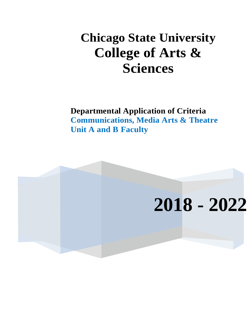# **Chicago State University College of Arts & Sciences**

**Departmental Application of Criteria Communications, Media Arts & Theatre Unit A and B Faculty**

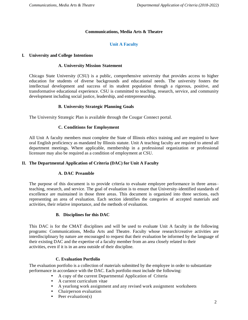#### **Communications, Media Arts & Theatre**

# **Unit A Faculty**

#### **I. University and College Intentions**

#### **A. University Mission Statement**

Chicago State University (CSU) is a public, comprehensive university that provides access to higher education for students of diverse backgrounds and educational needs. The university fosters the intellectual development and success of its student population through a rigorous, positive, and transformative educational experience. CSU is committed to teaching, research, service, and community development including social justice, leadership, and entrepreneurship.

#### **B. University Strategic Planning Goals**

The University Strategic Plan is available through the Cougar Connect portal.

#### **C. Conditions for Employment**

All Unit A faculty members must complete the State of Illinois ethics training and are required to have oral English proficiency as mandated by Illinois statute. Unit A teaching faculty are required to attend all department meetings. Where applicable, membership in a professional organization or professional licensure may also be required as a condition of employment at CSU.

#### **II. The Departmental Application of Criteria (DAC) for Unit A Faculty**

#### **A. DAC Preamble**

The purpose of this document is to provide criteria to evaluate employee performance in three areas– teaching, research, and service. The goal of evaluation is to ensure that University-identified standards of excellence are maintained in those three areas. This document is organized into three sections, each representing an area of evaluation. Each section identifies the categories of accepted materials and activities, their relative importance, and the methods of evaluation.

#### **B. Disciplines for this DAC**

This DAC is for the CMAT disciplines and will be used to evaluate Unit A faculty in the following programs: Communications, Media Arts and Theatre. Faculty whose research/creative activities are interdisciplinary by nature are encouraged to request that their evaluation be informed by the language of their existing DAC and the expertise of a faculty member from an area closely related to their activities, even if it is in an area outside of their discipline.

#### **C. Evaluation Portfolio**

The evaluation portfolio is a collection of materials submitted by the employee in order to substantiate performance in accordance with the DAC. Each portfolio must include the following:

- A copy of the current Departmental Application of Criteria
- A current curriculum vitae
- A yearlong work assignment and any revised work assignment worksheets
- Chairperson evaluation
- Peer evaluation(s)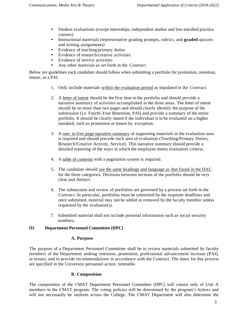- Student evaluations (except internships, independent studies and low-enrolled practica courses)
- Instructional materials (representative grading prompts, rubrics, and **graded** quizzes and writing assignments)
- Evidence of teaching/primary duties
- Evidence of research/creative activities
- Evidence of service activities
- Any other materials as set forth in the *Contract*

Below are guidelines each candidate should follow when submitting a portfolio for promotion, retention, tenure, or a PAI.

- 1. Only include materials within the evaluation period as stipulated in the *Contract*.
- 2. A letter of intent should be the first item in the portfolio and should provide a narrative summary of activities accomplished in the three areas. The letter of intent should be no more than two pages and should clearly identify the purpose of the submission (i.e. Fourth-Year Retention, PAI) and provide a summary of the entire portfolio. It should be clearly stated if the individual is to be evaluated on a higher standard, such as promotion or tenure by exception.
- 3. A one- to five-page narrative summary of supporting materials in the evaluation area is required and should precede each area of evaluation (Teaching/Primary Duties, Research/Creative Activity, Service). This narrative summary should provide a detailed reporting of the ways in which the employee meets evaluation criteria.
- 4. A table of contents with a pagination system is required.
- 5. The candidate should use the same headings and language as that found in the DAC for the three categories. Divisions between sections of the portfolio should be very clear and distinct.
- 6. The submission and review of portfolios are governed by a process set forth in the *Contract*. In particular, portfolios must be submitted by the requisite deadlines and once submitted, material may not be added or removed by the faculty member unless requested by the evaluator(s).
- 7. Submitted material shall not include personal information such as social security numbers.

#### **III. Department Personnel Committee (DPC)**

#### **A. Purpose**

The purpose of a Department Personnel Committee shall be to review materials submitted by faculty members of the Department seeking retention, promotion, professional advancement increase (PAI), or tenure, and to provide recommendations in accordance with the Contract. The dates for this process are specified in the University personnel action timetable.

#### **B. Composition**

The composition of the CMAT Department Personnel Committee (DPC) will consist only of Unit A members in the CMAT program. The voting policies will be determined by the program's bylaws and will not necessarily be uniform across the College. The CMAT Department will also determine the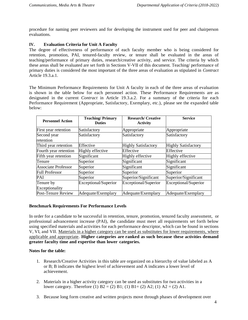procedure for naming peer reviewers and for developing the instrument used for peer and chairperson evaluations.

# **IV. Evaluation Criteria for Unit A Faculty**

The degree of effectiveness of performance of each faculty member who is being considered for retention, promotion, PAI, tenured-faculty review, or tenure shall be evaluated in the areas of teaching/performance of primary duties, research/creative activity, and service. The criteria by which these areas shall be evaluated are set forth in Sections V-VII of this document. Teaching/ performance of primary duties is considered the most important of the three areas of evaluation as stipulated in *Contract*  Article 19.3.a.1.

The Minimum Performance Requirements for Unit A faculty in each of the three areas of evaluation is shown in the table below for each personnel action. These Performance Requirements are as designated in the current *Contract* in Article 19.3.a.2. For a summary of the criteria for each Performance Requirement (Appropriate, Satisfactory, Exemplary, etc.), please see the expanded table below:

| <b>Personnel Action</b>    | <b>Teaching/Primary</b><br><b>Duties</b> | <b>Research/Creative</b><br><b>Activity</b> | <b>Service</b>             |
|----------------------------|------------------------------------------|---------------------------------------------|----------------------------|
| First year retention       | Satisfactory                             | Appropriate                                 | Appropriate                |
| Second year                | Satisfactory                             | Satisfactory                                | Satisfactory               |
| retention                  |                                          |                                             |                            |
| Third year retention       | Effective                                | <b>Highly Satisfactory</b>                  | <b>Highly Satisfactory</b> |
| Fourth year retention      | Highly effective                         | Effective                                   | Effective                  |
| Fifth year retention       | Significant                              | Highly effective                            | Highly effective           |
| Tenure                     | Superior                                 | Significant                                 | Significant                |
| <b>Associate Professor</b> | Superior                                 | Significant                                 | Significant                |
| <b>Full Professor</b>      | Superior                                 | Superior                                    | Superior                   |
| PAI                        | Superior                                 | Superior/Significant                        | Superior/Significant       |
| Tenure by                  | Exceptional/Superior                     | Exceptional/Superior                        | Exceptional/Superior       |
| Exceptionality             |                                          |                                             |                            |
| Post-Tenure Review         | Adequate/Exemplary                       | Adequate/Exemplary                          | Adequate/Exemplary         |

#### **Benchmark Requirements For Performance Levels**

In order for a candidate to be successful in retention, tenure, promotion, tenured faculty assessment, or professional advancement increase (PAI), the candidate must meet all requirements set forth below using specified materials and activities for each performance descriptor, which can be found in sections V, VI, and VII. Materials in a higher category can be used as substitutes for lower requirements, where applicable and appropriate. **Higher categories are ranked as such because these activities demand greater faculty time and expertise than lower categories.**

#### **Notes for the table:**

- 1. Research/Creative Activities in this table are organized on a hierarchy of value labeled as A or B; B indicates the highest level of achievement and A indicates a lower level of achievement.
- 2. Materials in a higher activity category can be used as substitutes for two activities in a lower category. Therefore (1)  $B2 = (2) B1$ ; (1)  $B1 = (2) A2$ ; (1)  $A2 = (2) A1$ .
- 3. Because long form creative and written projects move through phases of development over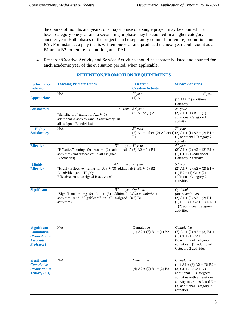the course of months and years, one major phase of a single project may be counted in a lower category one year and a second major phase may be counted in a higher category another year. Both phases of the project can be separately counted for tenure, promotion, and PAI. For instance, a play that is written one year and produced the next year could count as a B1 and a B2 for tenure, promotion, and PAI.

4. Research/Creative Activity and Service Activities should be separately listed and counted for **each** academic year of the evaluation period, when applicable.

| <b>Performance</b>                                                                                 | <b>Teaching/Primary Duties</b>                                                                                                                                  | Research/                                                                             | <b>Service Activities</b>                                                                                                                                                                                            |
|----------------------------------------------------------------------------------------------------|-----------------------------------------------------------------------------------------------------------------------------------------------------------------|---------------------------------------------------------------------------------------|----------------------------------------------------------------------------------------------------------------------------------------------------------------------------------------------------------------------|
| <b>Indicator</b>                                                                                   |                                                                                                                                                                 | <b>Creative Activity</b>                                                              |                                                                                                                                                                                                                      |
| <b>Appropriate</b>                                                                                 | N/A                                                                                                                                                             | $I^{st}$ year<br>$(1)$ A <sub>1</sub>                                                 | $I^{st}$ year<br>$(1)$ A1+ $(1)$ additional<br>Category 1                                                                                                                                                            |
| <b>Satisfactory</b>                                                                                | $Ist$ year<br>"Satisfactory" rating for $A.a + (1)$<br>additional A activity (and "Satisfactory" in<br>all assigned B activities)                               | $2^{nd}$ year<br>$(2)$ A1 or $(1)$ A2                                                 | $2^{nd}$ year<br>$(2)$ A1 + (1) B1 + (1)<br>additional Category 1<br>activity                                                                                                                                        |
| <b>Highly</b><br><b>Satisfactory</b>                                                               | N/A                                                                                                                                                             | 3 <sup>rd</sup> year<br>(2) A1 + either (2) A2 or (1)(2) A1 + (1) A2 + (2) B1 +<br>B1 | 3 <sup>rd</sup> year<br>(1) additional Category 2<br>activity                                                                                                                                                        |
| <b>Effective</b>                                                                                   | 3rd<br>"Effective" rating for A.a + (2) additional $A(3) A2 + (1) B1$<br>activities (and /Effective" in all assigned<br><b>B</b> activities)                    | year <sup>4th</sup> year                                                              | $4^{th}$ year<br>$(2)$ A1 + (2) A2 + (2) B1 +<br>$(1)$ C1 + $(1)$ additional<br>Category 2 activity                                                                                                                  |
| <b>Highly</b><br><b>Effective</b>                                                                  | $4^{th}$<br>"Highly Effective" rating for A.a + (3) additional (2) $B1 + (1)B2$<br>A activities (and "Highly<br>Effective" in all assigned B activities)        | year5 <sup>th</sup> year                                                              | $5^{th}$ year<br>$(2)$ A1 + (2) A2 + (2) B1 +<br>$(1) B2 + (1) C1 + (2)$<br>additional Category 2<br>activities                                                                                                      |
| <b>Significant</b>                                                                                 | 5 <sup>th</sup><br>"Significant" rating for A.a + (3) additional $A$ (not cumulative)<br>activities (and "Significant" in all assigned $B(3) B1$<br>activities) | yearOptional                                                                          | Optional-<br>(not cumulative)<br>$(2)$ A1 + (2) A2 + (2) B1 +<br>$(1) B2 + (1) C2 + (1) D1/E1$<br>+ (2) additional Category 2<br>activities                                                                          |
| <b>Significant</b><br><b>Cumulative</b><br>(Promotion to<br><b>Associate</b><br><b>Professor</b> ) | N/A                                                                                                                                                             | Cumulative<br>$(1)$ A2 + (3) B1 + (1) B2                                              | Cumulative<br>$(7)$ A1 + (2) A2 + (3) B1 +<br>$(1) C1 + (1) C2 +$<br>(5) additional Category 1<br>$\text{activities} + (2) \text{ additional}$<br>Category 2 activities                                              |
| <b>Significant</b><br><b>Cumulative</b><br>(Promotion to<br><b>Tenure, PAI</b> )                   | N/A                                                                                                                                                             | Cumulative<br>$(4)$ A2 + (2) B1 + (2) B2                                              | Cumulative<br>$(11)$ A1 + (6) A2 + (3) B2 +<br>$(3)$ C1 + (3) C2 + (2)<br>additional<br>Category<br>1<br>activities with at least one<br>activity in groups $D$ and $E +$<br>(3) additional Category 2<br>activities |

## **RETENTION/PROMOTION REQUIREMENTS**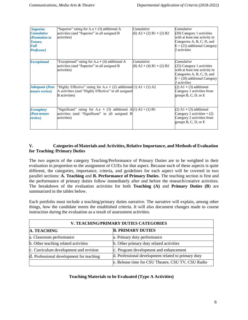| <b>Superior</b><br><b>Cumulative</b><br>(Promotion to<br>Tenure,<br>Full<br><b>Professor</b> ) | "Superior" rating for $A.a + (3)$ additional A<br>activities (and "Superior" in all assigned B<br>activities)                                        | Cumulative<br>$(6)$ A2 + (2) B1 + (2) B2 | <i>Cumulative</i><br>(20) Category 1 activities<br>with at least one activity in<br>Categories A, B, C, D, and<br>$E + (15)$ additional Category<br>2 activities |
|------------------------------------------------------------------------------------------------|------------------------------------------------------------------------------------------------------------------------------------------------------|------------------------------------------|------------------------------------------------------------------------------------------------------------------------------------------------------------------|
| <b>Exceptional</b>                                                                             | "Exceptional" rating for $A.a + (4)$ additional A<br>activities (and "Superior" in all assigned B<br>activities)                                     | Cumulative<br>$(8)$ A2 + (4) B1 + (2) B2 | Cumulative<br>(25) Category 1 activities<br>with at least one activity in<br>Categories A, B, C, D, and<br>$E + (20)$ additional Category<br>2 activities        |
| <b>Adequate (Post-</b><br><i>tenure review</i> )                                               | "Highly Effective" rating for A.a + (2) additional $(1)$ A1 + (1) A2<br>A activities (and "Highly Effective" in all assigned<br><b>B</b> activities) |                                          | $(2)$ A1 + $(3)$ additional<br>Category 1 activities from<br>groups B, C, D, or E                                                                                |
| <b>Exemplary</b><br>(Post-tenure<br>review)                                                    | "Significant" rating for A.a + (3) additional $A(1) A2 + (1) B1$<br>activities (and "Significant" in all assigned B<br>activities)                   |                                          | $(2)$ A1 + $(3)$ additional<br>Category 1 activities $+(2)$<br>Category 2 activities from<br>groups $B, C, D,$ or $E$                                            |

# **V. Categories of Materials and Activities, Relative Importance, and Methods of Evaluation for Teaching /Primary Duties**

The two aspects of the category Teaching/Performance of Primary Duties are to be weighted in their evaluation in proportion to the assignment of CUEs for that aspect. Because each of these aspects is quite different, the categories, importance, criteria, and guidelines for each aspect will be covered in two parallel sections: **A. Teaching** and **B. Performance of Primary Duties**. The teaching section is first and the performance of primary duties follow immediately after and before the research/creative activities. The breakdown of the evaluation activities for both **Teaching (A)** and **Primary Duties (B**) are summarized in the tables below.

Each portfolio must include a teaching/primary duties narrative. The narrative will explain, among other things, how the candidate meets the established criteria. It will also document changes made to course instruction during the evaluation as a result of assessment activities.

| V. TEACHING/PRIMARY DUTIES CATEGORIES                                                           |                                                    |  |
|-------------------------------------------------------------------------------------------------|----------------------------------------------------|--|
| A. TEACHING                                                                                     | <b>B. PRIMARY DUTIES</b>                           |  |
| a. Classroom performance                                                                        | a. Primary duty performance                        |  |
| b. Other teaching related activities                                                            | b. Other primary duty related activities           |  |
| c. Curriculum development and revision                                                          | c. Program development and enhancement             |  |
| d. Professional development related to primary duty<br>d. Professional development for teaching |                                                    |  |
|                                                                                                 | e. Release time for CSU Theatre, CSU TV, CSU Radio |  |

# **Teaching Materials to be Evaluated (Type A Activities)**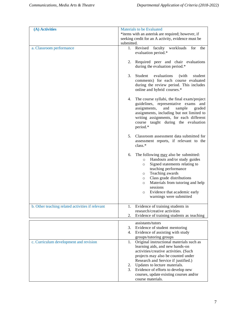|                                                  | Materials to be Evaluated                                                                                                                                                                                                                                                                                                                                        |  |
|--------------------------------------------------|------------------------------------------------------------------------------------------------------------------------------------------------------------------------------------------------------------------------------------------------------------------------------------------------------------------------------------------------------------------|--|
| (A) Activities                                   | *items with an asterisk are required; however, if                                                                                                                                                                                                                                                                                                                |  |
|                                                  | seeking credit for an A activity, evidence must be                                                                                                                                                                                                                                                                                                               |  |
|                                                  | submitted.                                                                                                                                                                                                                                                                                                                                                       |  |
| a. Classroom performance                         | 1. Revised<br>faculty workloads<br>for<br>the                                                                                                                                                                                                                                                                                                                    |  |
|                                                  | evaluation period.*                                                                                                                                                                                                                                                                                                                                              |  |
|                                                  | Required peer and chair evaluations<br>2.<br>during the evaluation period.*                                                                                                                                                                                                                                                                                      |  |
|                                                  | 3.<br>Student<br>evaluations<br>(with<br>student<br>comments) for each course evaluated<br>during the review period. This includes<br>online and hybrid courses.*                                                                                                                                                                                                |  |
|                                                  | The course syllabi, the final exam/project<br>4.<br>guidelines, representative exams and<br>assignments,<br>and<br>sample<br>graded<br>assignments, including but not limited to<br>writing assignments, for each different<br>course taught during the evaluation<br>period.*                                                                                   |  |
|                                                  | 5.<br>Classroom assessment data submitted for<br>assessment reports, if relevant to the<br>class.*                                                                                                                                                                                                                                                               |  |
|                                                  | The following may also be submitted:<br>6.<br>Handouts and/or study guides<br>$\circ$<br>Signed statements relating to<br>$\circ$<br>teaching performance<br>Teaching awards<br>$\circ$<br>Class grade distributions<br>$\circ$<br>Materials from tutoring and help<br>$\circ$<br>sessions<br>Evidence that academic early<br>$\circ$<br>warnings were submitted |  |
| b. Other teaching related activities if relevant | Evidence of training students in<br>research/creative activities                                                                                                                                                                                                                                                                                                 |  |
|                                                  | Evidence of training students as teaching<br>2.                                                                                                                                                                                                                                                                                                                  |  |
|                                                  | assistants/tutors<br>Evidence of student mentoring<br>3.<br>Evidence of assisting with study<br>4.<br>groups/tutoring groups                                                                                                                                                                                                                                     |  |
| c. Curriculum development and revision           | Original instructional materials such as<br>1.<br>learning aids, and new hands-on<br>activities/creative activities. (Such<br>projects may also be counted under<br>Research and Service if justified.)<br>Updates to lecture materials.<br>2.<br>Evidence of efforts to develop new<br>3.<br>courses, update existing courses and/or<br>course materials.       |  |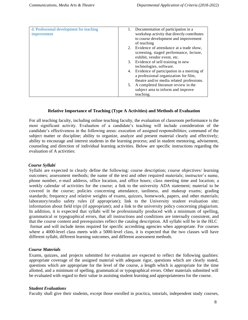| d. Professional development for teaching<br>improvement | Documentation of participation in a<br>workshop activity that directly contributes<br>to course development and improvement<br>of teaching |
|---------------------------------------------------------|--------------------------------------------------------------------------------------------------------------------------------------------|
|                                                         | 2. Evidence of attendance at a trade show,<br>screening, staged performance, lecture,<br>exhibit, vendor event, etc.                       |
|                                                         | 3. Evidence of self-training in new<br>technologies, software.                                                                             |
|                                                         | Evidence of participation in a meeting of<br>4.<br>a professional organization for film,<br>theatre and/or media related professions.      |
|                                                         | A completed literature review in the<br>5.<br>subject area to inform and improve<br>teaching.                                              |

## **Relative Importance of Teaching (Type A Activities) and Methods of Evaluation**

For all teaching faculty, including online teaching faculty, the evaluation of classroom performance is the most significant activity. Evaluation of a candidate's teaching will include consideration of the candidate's effectiveness in the following areas: execution of assigned responsibilities; command of the subject matter or discipline; ability to organize, analyze and present material clearly and effectively; ability to encourage and interest students in the learning process; and in student mentoring, advisement, counseling and direction of individual learning activities. Below are specific instructions regarding the evaluation of A activities:

#### *Course Syllabi*

Syllabi are expected to clearly define the following: course description; course objectives/ learning outcomes; assessment methods; the name of the text and other required materials; instructor's name, phone number, e-mail address, office location, and office hours; class meeting time and location; a weekly calendar of activities for the course; a link to the university ADA statement; material to be covered in the course; policies concerning attendance, tardiness, and makeup exams; grading standards; frequency and relative weights of exams, quizzes, homework, papers, and other materials; laboratory/studio safety rules (if appropriate); link to the University student evaluation sit[e;](http://www.csu.edu/course-eval%3B) information about field trips (if appropriate); and a link to the university policy concerning plagiarism. In addition, it is expected that syllabi will be professionally produced with a minimum of spelling, grammatical or typographical errors, that all instructions and conditions are internally consistent, and that the course content and prerequisites reflect the catalog description. All syllabi will be in the HLC format and will include items required for specific accrediting agencies when appropriate. For courses where a 4000-level class meets with a 5000-level class, it is expected that the two classes will have different syllabi, different learning outcomes, and different assessment methods.

#### *Course Materials*

Exams, quizzes, and projects submitted for evaluation are expected to reflect the following qualities: appropriate coverage of the assigned material with adequate rigor, questions which are clearly stated, questions which are appropriate for the level of the course, a length which is appropriate for the time allotted, and a minimum of spelling, grammatical or typographical errors. Other materials submitted will be evaluated with regard to their value in assisting student learning and appropriateness for the course.

#### *Student Evaluations*

Faculty shall give their students, except those enrolled in practica, tutorials, independent study courses,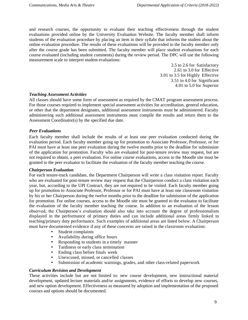and research courses, the opportunity to evaluate their teaching effectiveness through the student evaluations provided online by the University Evaluation Website. The faculty member shall inform students of the evaluation procedure by placing an item in their syllabi that informs the student about the online evaluation procedure. The results of these evaluations will be provided to the faculty member only after the course grade has been submitted. The faculty member will place student evaluations for each course evaluated (including student comments) during the review period. The DPC will use the following measurement scale to interpret student evaluations:

> 2.5 to 2.6 for Satisfactory 2.61 to 3.0 for Effective 3.01 to 3.5 for Highly Effective 3.51 to 4.0 for Significant 4.01 to 5.0 for Superior

## *Teaching Assessment Activities*

All classes should have some form of assessment as required by the CMAT program assessment process. For those courses required to implement special assessment activities for accreditation, general education, or other that the department designates, additional assessment instruments must be administered. Faculty administering such additional assessment instruments must compile the results and return them to the Assessment Coordinator(s) by the specified due date.

## *Peer Evaluations*

Each faculty member shall include the results of at least one peer evaluation conducted during the evaluation period. Each faculty member going up for promotion to Associate Professor, Professor, or for PAI must have at least one peer evaluation during the twelve months prior to the deadline for submission of the application for promotion. Faculty who are evaluated for post-tenure review may request, but are not required to obtain, a peer evaluation. For online course evaluations, access to the Moodle site must be granted to the peer evaluator to facilitate the evaluation of the faculty member teaching the course.

#### *Chairperson Evaluation*

For each tenure-track candidate, the Department Chairperson will write a class visitation report. Faculty who are evaluated for post-tenure review may request that the Chairperson conduct a class visitation each year, but, according to the UPI Contract, they are not required to be visited. Each faculty member going up for promotion to Associate Professor, Professor or for PAI must have at least one classroom visitation by his or her Chairperson during the twelve months prior to the deadline for submission of the application for promotion. For online courses, access to the Moodle site must be granted to the evaluator to facilitate the evaluation of the faculty member teaching the course. In addition to an evaluation of the lesson observed, the Chairperson's evaluation should also take into account the degree of professionalism displayed in the performance of primary duties and can include additional areas firmly linked to teaching/primary duty performance. Such examples of additional areas are listed below. A Chairperson must have documented evidence if any of these concerns are raised in the classroom evaluation:

- Student complaints
- Availability during office hours
- Responding to students in a timely manner
- Tardiness or early class termination
- Ending class before finals week
- Unexcused, missed, or cancelled classes
- Submission of academic warnings, grades, and other class-related paperwork

#### *Curriculum Revision and Development*

These activities include but are not limited to: new course development, new instructional material development, updated lecture materials and/or assignments, evidence of efforts to develop new courses, and new option development. Effectiveness as measured by adoption and implementation of the proposed courses and options should be documented.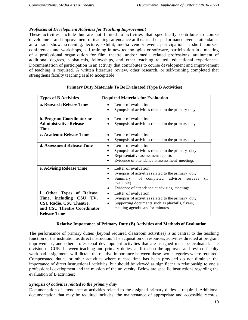#### *Professional Development Activities for Teaching Improvement*

These activities include but are not limited to activities that specifically contribute to course development and improvement of teaching: attendance at theatrical or performance events, attendance at a trade show, screening, lecture, exhibit, media vendor event, participation in short courses, conferences and workshops, self-training in new technologies or software, participation in a meeting of a professional organization for film, theatre, and/or media related professions, attainment of additional degrees, sabbaticals, fellowships, and other teaching related, educational experiences. Documentation of participation in an activity that contributes to course development and improvement of teaching is required. A written literature review, other research, or self-training completed that strengthens faculty teaching is also acceptable.

| <b>Types of B Activities</b>                                                                                                                 | <b>Required Materials for Evaluation</b>                                                                                                                                                                    |  |
|----------------------------------------------------------------------------------------------------------------------------------------------|-------------------------------------------------------------------------------------------------------------------------------------------------------------------------------------------------------------|--|
| a. Research Release Time                                                                                                                     | Letter of evaluation<br>$\bullet$<br>Synopsis of activities related to the primary duty                                                                                                                     |  |
| b. Program Coordinator or<br><b>Administrative Release</b><br><b>Time</b>                                                                    | Letter of evaluation<br>$\bullet$<br>Synopsis of activities related to the primary duty                                                                                                                     |  |
| c. Academic Release Time                                                                                                                     | Letter of evaluation<br>$\bullet$<br>Synopsis of activities related to the primary duty<br>$\bullet$                                                                                                        |  |
| d. Assessment Release Time                                                                                                                   | Letter of evaluation<br>$\bullet$<br>Synopsis of activities related to the primary duty<br>Representative assessment reports<br>٠<br>Evidence of attendance at assessment meetings                          |  |
| e. Advising Release Time                                                                                                                     | Letter of evaluation<br>$\bullet$<br>Synopsis of activities related to the primary duty<br>Summary of completed advisor<br>(if<br>surveys<br>available)<br>Evidence of attendance at advising meetings<br>٠ |  |
| f. Other Types of Release<br>Time, including CSU TV,<br><b>CSU Radio, CSU Theatre,</b><br>and CSU Theatre Coordinator<br><b>Release Time</b> | Letter of evaluation<br>$\bullet$<br>Synopsis of activities related to the primary duty<br>٠<br>Supporting documents such as playbills, flyers,<br>$\bullet$<br>meeting agendas and/or minutes              |  |

## **Primary Duty Materials To Be Evaluated (Type B Activities)**

#### **Relative Importance of Primary Duty (B) Activities and Methods of Evaluation**

The performance of primary duties (beyond required classroom activities) is as central to the teaching function of the institution as direct instruction. The acquisition of resources, activities directed at program improvement, and other professional development activities that are assigned must be evaluated. The division of CUEs between teaching and primary duties, as listed on the approved and revised faculty workload assignment, will dictate the relative importance between these two categories where required. Compensated duties or other activities where release time has been provided do not diminish the importance of direct instructional activities, but should be viewed as significant in relationship to one's professional development and the mission of the university. Below are specific instructions regarding the evaluation of B activities:

#### *Synopsis of activities related to the primary duty*

Documentation of attendance at activities related to the assigned primary duties is required. Additional documentation that may be required includes: the maintenance of appropriate and accessible records,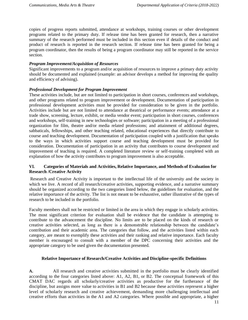copies of progress reports submitted, attendance at workshops, training courses or other development programs related to the primary duty. If release time has been granted for research, then a narrative summary of the research performed must be included in this section even if details of the conduct and product of research is reported in the research section. If release time has been granted for being a program coordinator, then the results of being a program coordinator may still be reported in the service section.

#### *Program Improvement/Acquisition of Resources*

Significant improvements to a program and/or acquisition of resources to improve a primary duty activity should be documented and explained (example: an advisor develops a method for improving the quality and efficiency of advising).

#### *Professional Development for Program Improvement*

These activities include, but are not limited to participation in short courses, conferences and workshops, and other programs related to program improvement or development. Documentation of participation in professional development activities must be provided for consideration to be given in the portfolio. Activities include but are not limited to attendance at theatrical or performance events; attendance at a trade show, screening, lecture, exhibit, or media vendor event; participation in short courses, conferences and workshops, self-training in new technologies or software; participation in a meeting of a professional organization for film, theatre and/or media related professions; and attainment of additional degrees, sabbaticals, fellowships, and other teaching related, educational experiences that directly contribute to course and teaching development. Documentation of participation coupled with a justification that speaks to the ways in which activities support course and teaching development must be provided for consideration. Documentation of participation in an activity that contributes to course development and improvement of teaching is required. A completed literature review or self-training completed with an explanation of how the activity contributes to program improvement is also acceptable.

#### **VI. Categories of Materials and Activities, Relative Importance, and Methods of Evaluation for Research /Creative Activity**

Research and Creative Activity is important to the intellectual life of the university and the society in which we live. A record of all research/creative activities, supporting evidence, and a narrative summary should be organized according to the two categories listed below, the guidelines for evaluation, and the relative importance of the activity. The list is not meant to be exhaustive, rather illustrative of the types of research to be included in the portfolio.

Faculty members shall not be restricted or limited in the area in which they engage in scholarly activities. The most significant criterion for evaluation shall be evidence that the candidate is attempting to contribute to the advancement the discipline. No limits are to be placed on the kinds of research or creative activities selected, as long as there is a demonstrable relationship between the candidate's contribution and their academic area. The categories that follow, and the activities listed within each category, are meant to exemplify these activities and their ranking and relative importance. Each faculty member is encouraged to consult with a member of the DPC concerning their activities and the appropriate category to be used given the documentation presented.

#### **Relative Importance of Research/Creative Activities and Discipline-specific Definitions**

**A.** All research and creative activities submitted in the portfolio must be clearly identified according to the four categories listed above: A1, A2, B1, or B2. The conceptual framework of this CMAT DAC regards all scholarly/creative activities as productive for the furtherance of the discipline, but assigns more value to activities in B1 and B2 because these activities represent a higher level of scholarly research and creative achievement, demanding more challenging intellectual and creative efforts than activities in the A1 and A2 categories. Where possible and appropriate, a higher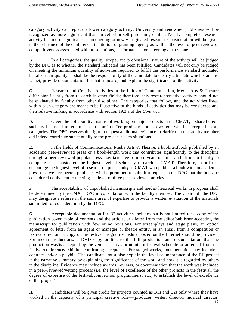.

category activity can replace a lower category activity. University and renowned publishers will be recognized as more significant than un-vetted or self-publishing entities. Nearly completed research activity has more significance than ongoing or newly originated research. Consideration will be given to the relevance of the conference, institution or granting agency as well as the level of peer review or competitiveness associated with presentations, performances, or screenings in a venue.

**B.** In all categories, the quality, scope, and professional stature of the activity will be judged by the DPC as to whether the standard indicated has been fulfilled. Candidates will not only be judged on meeting the minimum quantity of activities required to fulfill the performance standard indicated but also their quality. It shall be the responsibility of the candidate to clearly articulate which standard is met, provide documentation for that standard, and explain the significance of the activity.

*C.* Research and Creative Activities in the fields of Communication, Media Arts & Theatre differ significantly from research in other fields; therefore, this research/creative activity should not be evaluated by faculty from other disciplines. The categories that follow, and the activities listed within each category are meant to be illustrative of the kinds of activities that may be considered and their relative ranking in accordance with section 19.3.a of the *Contract.*

**D.** Given the collaborative nature of working on major projects in the CMAT, a shared credit such as but not limited to "co-director" or "co-producer" or "co-writer" will be accepted in all categories. The DPC reserves the right to request additional evidence to clarify that the faculty member did indeed contribute substantially to the project in such situations.

**E.** In the fields of Communications, Media Arts & Theatre, a book/textbook published by an academic peer-reviewed press or a book-length work that contributes significantly to the discipline through a peer-reviewed popular press may take five or more years of time, and effort for faculty to complete it is considered the highest level of scholarly research in CMAT. Therefore, in order to encourage the highest level of research output, faculty in CMAT who publish a book with an academic press or a well-respected publisher will be permitted to submit a request to the DPC that the book be considered equivalent to meeting the level of three peer-reviewed articles.

**F.** The acceptability of unpublished manuscripts and media/theatrical works in progress shall be determined by the CMAT DPC in consultation with the faculty member. The Chair of the DPC may designate a referee in the same area of expertise to provide a written evaluation of the materials submitted for consideration by the DPC.

**G.** Acceptable documentation for B2 activities includes but is not limited to: a copy of the publication cover, table of contents and the article, or a letter from the editor/publisher accepting the manuscript for publication with few or no revisions. For screenplays and stage plays, an option agreement or letter from an agent or manager or theatre entity, or an email from a competition or festival director, or copy of the festival program schedule posted on the Internet should be provided. For media productions, a DVD copy or link to the full production and documentation that the production was/is accepted by the venue, such as printouts of festival schedule or an email from the festival/conference/exhibitor confirming acceptance. For staged works, documentation may include a contract and/or a playbill. The candidate must also explain the level of importance of the BII project in the narrative summary by explaining the significance of the work and how it is regarded by others in the discipline. Evidence may include awards, reviews, or documentation that the work was included in a peer-reviewed/vetting process (i.e. the level of excellence of the other projects in the festival, the degree of expertise of the festival/competition programmers, etc.) to establish the level of excellence of the project).

**H.** Candidates will be given credit for projects counted as B1s and B2s only where they have worked in the capacity of a principal creative role—(producer, writer, director, musical director,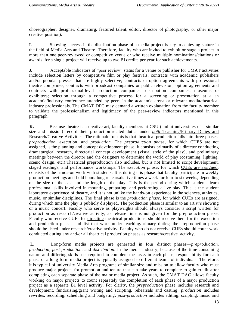choreographer, designer, dramaturg, featured talent, editor, director of photography, or other major creative position).

**I.** Showing success in the distribution phase of a media project is key to achieving stature in the field of Media Arts and Theatre. Therefore, faculty who are invited to exhibit or stage a project in more than one peer-reviewed or competitive venue or who receive multiple nominations/citations or awards for a single project will receive up to two BI credits per year for such achievements.

**J.** Acceptable indicators of "peer review" status for a venue or publisher for CMAT activities include selection letters by competitive film or play festivals, contracts with academic publishers and/or popular presses that are highly selective; contracts or option agreements with professional theatre companies, contracts with broadcast companies or public television; option agreements and contracts with professional-level production companies, distribution companies, museums or exhibitors; selection through a competitive process for a screening or presentation at a an academic/industry conference attended by peers in the academic arena or relevant media/theatrical industry professionals. The CMAT DPC may demand a written explanation from the faculty member to validate the professionalism and legitimacy of the peer-review indicators mentioned in this paragraph.

**K.** Because theatre is a creative art, faculty members at CSU (and at universities of a similar size and mission) record their production-related duties under *both* Teaching/Primary Duties and Research/Creative Activities. The rationale for this is that theatrical production falls into three phases: *preproduction, execution,* and *production*. The *preproduction phase*, for which CUES are not assigned, is the planning and concept development phase; it consists primarily of a director conducting dramaturgical research, directorial concept development (visual style of the play), and preliminary meetings between the director and the designers to determine the world of play (costuming, lighting, scenic design, etc.).Theatrical preproduction also includes, but is not limited to script development, staged readings, and performance workshops. The *execution phase*, for which CUEs are assigned, consists of the hands-on work with students. It is during this phase that faculty participate in weekly production meetings and hold hours-long rehearsals five times a week for four to six weeks, depending on the size of the cast and the length of the play. This is the period during which students learn professional skills involved in mounting, preparing, and performing a live play. This is the student laboratory experience of theatre, and it is not unlike the hands-on experience in the sciences, athletics, music, or similar disciplines. The final phase is the *production phase*, for which CUEs are assigned, during which time the play is publicly displayed. The production phase is similar to an artist's showing or a music concert. Faculty who serve as playwrights should always consider a script written for production as research/creative activity, as release time is not given for the preproduction phase. Faculty who receive CUEs for directing theatrical productions, should receive them for the execution and production phases and list that work under teaching/primary duties; the preproduction phase should be listed under research/creative activity. Faculty who do not receive CUEs should count work conducted during any and/or all theatrical production phases as research/creative activity.

**L.** Long-form media projects are generated in four distinct phases—*preproduction, production, post-production,* and *distribution*. In the media industry, because of the time-consuming nature and differing skills sets required to complete the tasks in each phase, responsibility for each phase of a long-form media project is typically assigned to different teams of individuals. Therefore, it is typical of university Media Arts programs of similar size and mission to allow faculty who must produce major projects for promotion and tenure that can take years to complete to gain credit after completing each separate phase of the major media project. As such, the CMAT DAC allows faculty working on major projects to count separately the completion of each phase of a major production project as a separate B1 level activity. For clarity, the *preproduction* phase includes research and development, fundraising/grant writing and scripting, rehearsals and casting; *production* includes rewrites, recording, scheduling and budgeting; *post-production* includes editing, scripting, music and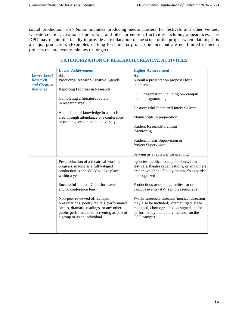sound production; *distribution* includes producing media masters for festivals and other venues, website creation, creation of press-kits, and other promotional activities including appearances. The DPC may require the faculty to provide an explanation of the scope of the project when claiming it is a major production. (Examples of long-form media projects include but are not limited to media projects that are twenty minutes or longer).

|                    | <b>Lower Achievement</b>                                                          | <b>Higher Achievement</b>                       |
|--------------------|-----------------------------------------------------------------------------------|-------------------------------------------------|
| <b>Lower Level</b> | $A1$ :                                                                            | A2:                                             |
| <b>Research</b>    | Producing Research/Creative Agenda                                                | Submit a presentation proposal for a            |
| and Creative       |                                                                                   | conference                                      |
| <b>Activities</b>  | Reporting Progress in Research                                                    |                                                 |
|                    |                                                                                   | CSU Presentation including on-campus            |
|                    | Completing a literature review                                                    | media programming                               |
|                    | in research area                                                                  |                                                 |
|                    |                                                                                   | Unsuccessful Submitted Internal Grant           |
|                    | Acquisition of knowledge in a specific<br>area through attendance at a conference | Manuscripts in preparation.                     |
|                    | or training session at the university                                             |                                                 |
|                    |                                                                                   | <b>Student Research/Training</b>                |
|                    |                                                                                   | /Mentoring                                      |
|                    |                                                                                   |                                                 |
|                    |                                                                                   | Student Thesis Supervision or                   |
|                    |                                                                                   | Project Supervision                             |
|                    |                                                                                   |                                                 |
|                    |                                                                                   | Serving as a reviewer for granting              |
|                    | Pre-production of a theatrical work in                                            | agencies, publications, publishers, film        |
|                    | progress so long as a fully-staged                                                | festivals, theatre organizations, or any others |
|                    | production is scheduled to take place                                             | area in which the faculty member's expertise    |
|                    | within a year                                                                     | is recognized                                   |
|                    | Successful Internal Grant for travel                                              | Productions or on-air activities for on-        |
|                    | and/or conference fees                                                            | campus events (A-V samples required)            |
|                    |                                                                                   |                                                 |
|                    | Non-peer reviewed off-campus                                                      | Works screened, directed (musical direction     |
|                    | presentations, poetry recitals, performance                                       | may also be included), dramaturged, stage       |
|                    | pieces, dramatic readings, or any other                                           | managed, choreographed, designed and/or         |
|                    | public performance or screening as part of                                        | performed by the faculty member on the          |
|                    | a group or as an individual.                                                      | CSU campus.                                     |
|                    |                                                                                   |                                                 |
|                    |                                                                                   |                                                 |
|                    |                                                                                   |                                                 |

# **CATEGORIZATION OF RESEARCH/CREATIVE ACTIVITIES**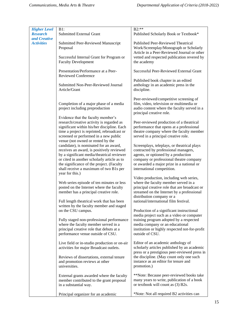| <b>Higher Level</b> | $B1$ :                                                                          | $B2:***$                                                                             |
|---------------------|---------------------------------------------------------------------------------|--------------------------------------------------------------------------------------|
| <b>Research</b>     | <b>Submitted External Grant</b>                                                 | Published Scholarly Book or Textbook*                                                |
| and Creative        |                                                                                 |                                                                                      |
| <b>Activities</b>   | Submitted Peer-Reviewed Manuscript                                              | <b>Published Peer-Reviewed Theatrical</b>                                            |
|                     | Proposal                                                                        | Work/Screenplay/Monograph or Scholarly                                               |
|                     |                                                                                 | Article in a Peer-Reviewed Journal or other                                          |
|                     | Successful Internal Grant for Program or                                        | vetted and respected publication revered by                                          |
|                     | <b>Faculty Development</b>                                                      | the academy                                                                          |
|                     |                                                                                 |                                                                                      |
|                     | Presentation/Performance at a Peer-                                             | Successful Peer-Reviewed External Grant                                              |
|                     | <b>Reviewed Conference</b>                                                      |                                                                                      |
|                     |                                                                                 | Published book chapter in an edited                                                  |
|                     | Submitted Non-Peer-Reviewed Journal                                             | anthology in an academic press in the                                                |
|                     | Article/Grant                                                                   | discipline.                                                                          |
|                     |                                                                                 |                                                                                      |
|                     |                                                                                 | Peer-reviewed/competitive screening of                                               |
|                     | Completion of a major phase of a media                                          | film, video, television or multimedia or                                             |
|                     | project including preproduction                                                 | audio content where the faculty served in a                                          |
|                     |                                                                                 | principal creative role.                                                             |
|                     | Evidence that the faculty member's<br>research/creative activity is regarded as |                                                                                      |
|                     | significant within his/her discipline. Each                                     | Peer-reviewed production of a theatrical<br>performance that opens at a professional |
|                     | time a project is reprinted, rebroadcast or                                     | theatre company where the faculty member                                             |
|                     | screened or performed in a new public                                           | served in a principal creative role.                                                 |
|                     | venue (not owned or rented by the                                               |                                                                                      |
|                     | candidate), is nominated for an award,                                          | Screenplays, teleplays, or theatrical plays                                          |
|                     | receives an award, is positively reviewed                                       | contracted by professional managers,                                                 |
|                     | by a significant media/theatrical reviewer                                      | agents, or optioned by a production                                                  |
|                     | or cited in another scholarly article as to                                     | company or professional theatre company                                              |
|                     | the significance of the project. (Faculty                                       | or awarded a major prize in a national or                                            |
|                     | shall receive a maximum of two B1s per                                          | international competition.                                                           |
|                     | year for this.)                                                                 |                                                                                      |
|                     |                                                                                 | Video production, including web series,                                              |
|                     | Web series episode of ten minutes or less                                       | where the faculty member served in a                                                 |
|                     | posted on the Internet where the faculty                                        | principal creative role that are broadcast or                                        |
|                     | member has a principal creative role.                                           | streamed on the Internet by a professional                                           |
|                     |                                                                                 | distribution company or a                                                            |
|                     | Full length theatrical work that has been                                       | national/international film festival.                                                |
|                     | written by the faculty member and staged                                        |                                                                                      |
|                     | on the CSU campus.                                                              | Production of a significant instructional                                            |
|                     |                                                                                 | media project such as a video or computer                                            |
|                     | Fully staged non-professional performance                                       | training program adopted by a respected                                              |
|                     | where the faculty member served in a                                            | media company or an educational                                                      |
|                     | principal creative role that debuts at a                                        | institution or highly respected not-for-profit                                       |
|                     | performance venue outside of CSU.                                               | outside of CSU.                                                                      |
|                     |                                                                                 |                                                                                      |
|                     | Live field or in-studio production or on-air                                    | Editor of an academic anthology of                                                   |
|                     | activities for major Broadcast outlets.                                         | scholarly articles published by an academic                                          |
|                     |                                                                                 | press or a prestigious peer-reviewed press in                                        |
|                     | Reviews of dissertations, external tenure                                       | the discipline. (May count only one such<br>instance as an editor for tenure and     |
|                     | and promotion reviews at other<br>universities.                                 | promotion.)                                                                          |
|                     |                                                                                 |                                                                                      |
|                     | External grants awarded where the faculty                                       | **Note: Because peer-reviewed books take                                             |
|                     | member contributed to the grant proposal                                        | many years to write, publication of a book                                           |
|                     | in a substantial way.                                                           | or textbook will count as (3) B2s.                                                   |
|                     |                                                                                 |                                                                                      |
|                     | Principal organizer for an academic                                             | *Note: Not all required B2 activities can                                            |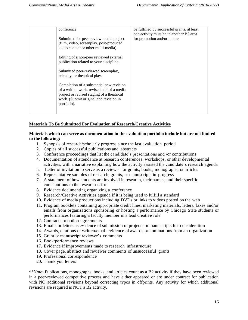| conference                                                                                                                                                                                    | be fulfilled by successful grants, at least<br>one activity must be in another B2 area |
|-----------------------------------------------------------------------------------------------------------------------------------------------------------------------------------------------|----------------------------------------------------------------------------------------|
| Submitted for peer-review media project<br>(film, video, screenplay, post-produced<br>audio content or other multi-media).                                                                    | for promotion and/or tenure.                                                           |
| Editing of a non-peer reviewed external<br>publication related to your discipline.                                                                                                            |                                                                                        |
| Submitted peer-reviewed screenplay,<br>teleplay, or theatrical play.                                                                                                                          |                                                                                        |
| Completion of a substantial new revision<br>of a written work, revised edit of a media<br>project or revised staging of a theatrical<br>work. (Submit original and revision in<br>portfolio). |                                                                                        |

# **Materials To Be Submitted For Evaluation of Research/Creative Activities**

#### **Materials which can serve as documentation in the evaluation portfolio include but are not limited to the following:**

- 1. Synopsis of research/scholarly progress since the last evaluation period
- 2. Copies of all successful publications and abstracts
- 3. Conference proceedings that list the candidate's presentations and /or contributions
- 4. Documentation of attendance at research conferences, workshops, or other developmental activities, with a narrative explaining how the activity assisted the candidate's research agenda
- 5. Letter of invitation to serve as a reviewer for grants, books, monographs, or articles
- 6. Representative samples of research, grants, or manuscripts in progress
- 7. A statement of how students are involved in research, their names, and their specific contributions to the research effort
- 8. Evidence documenting organizing a conference
- 9. Research/Creative Activities agenda if it is being used to fulfill a standard
- 10. Evidence of media productions including DVDs or links to videos posted on the web
- 11. Program booklets containing appropriate credit lines, marketing materials, letters, faxes and/or emails from organizations sponsoring or hosting a performance by Chicago State students or performances featuring a faculty member in a lead creative role
- 12. Contracts or option agreements
- 13. Emails or letters as evidence of submission of projects or manuscripts for consideration
- 14. Awards, citations or written/email evidence of awards or nominations from an organization
- 15. Grant or manuscript reviewer's comments
- 16. Book/performance reviews
- 17. Evidence if improvements made to research infrastructure
- 18. Cover page, abstract and reviewer comments of unsuccessful grants
- 19. Professional correspondence
- 20. Thank you letters

\*\*Note: Publications, monographs, books, and articles count as a B2 activity if they have been reviewed in a peer-reviewed competitive process and have either appeared or are under contract for publication with NO additional revisions beyond correcting typos in offprints. Any activity for which additional revisions are required is NOT a B2 activity.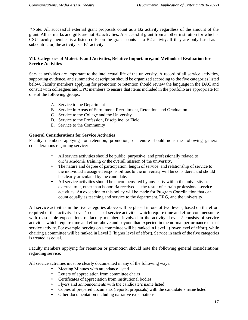\*Note: All successful external grant proposals count as a B2 activity regardless of the amount of the grant. All earmarks and gifts are not B2 activities. A successful grant from another institution for which a CSU faculty member is a listed co-PI on the grant counts as a B2 activity. If they are only listed as a subcontractor, the activity is a B1 activity.

## **VII. Categories of Materials and Activities, Relative Importance,and Methods of Evaluation for Service Activities**

Service activities are important to the intellectual life of the university. A record of all service activities, supporting evidence, and summative description should be organized according to the five categories listed below. Faculty members applying for promotion or retention should review the language in the DAC and consult with colleagues and DPC members to ensure that items included in the portfolio are appropriate for one of the following groups:

- A. Service to the Department
- B. Service in Areas of Enrollment, Recruitment, Retention, and Graduation
- C. Service to the College and the University.
- D. Service to the Profession, Discipline, or Field
- E. Service to the Community

## **General Considerations for Service Activities**

Faculty members applying for retention, promotion, or tenure should note the following general considerations regarding service:

- All service activities should be public, purposive, and professionally related to one's academic training or the overall mission of the university.
- The nature and degree of participation, length of service, and relationship of service to the individual's assigned responsibilities to the university will be considered and should be clearly articulated by the candidate.
- All service activities should be uncompensated by any party within the university or external to it, other than honoraria received as the result of certain professional service activities. An exception to this policy will be made for Program Coordination that can count equally as teaching and service to the department, ERG, and the university.

All service activities in the five categories above will be placed in one of two levels, based on the effort required of that activity. Level 1 consists of service activities which require time and effort commensurate with reasonable expectations of faculty members involved in the activity. Level 2 consists of service activities which require time and effort above and beyond that expected in the normal performance of that service activity. For example, serving on a committee will be ranked in Level 1 (lower level of effort), while chairing a committee will be ranked in Level 2 (higher level of effort). Service in each of the five categories is treated as equal.

Faculty members applying for retention or promotion should note the following general considerations regarding service:

All service activities must be clearly documented in any of the following ways:

- Meeting Minutes with attendance listed
- Letters of appreciation from committee chairs
- Certificates of appreciation from institutional bodies
- Flyers and announcements with the candidate's name listed
- Copies of prepared documents (reports, proposals) with the candidate's name listed
- Other documentation including narrative explanations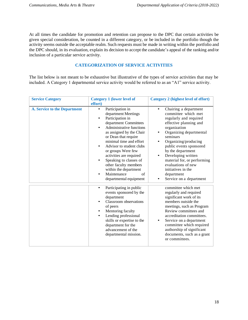At all times the candidate for promotion and retention can propose to the DPC that certain activities be given special consideration, be counted in a different category, or be included in the portfolio though the activity seems outside the acceptable realm. Such requests must be made in writing within the portfolio and the DPC should, in its evaluation, explain its decision to accept the candidate's appeal of the ranking and/or inclusion of a particular service activity.

# **CATEGORIZATION OF SERVICE ACTIVITIES**

The list below is not meant to be exhaustive but illustrative of the types of service activities that may be included. A Category 1 departmental service activity would be referred to as an "A1" service activity.

| <b>Service Category</b>             | <b>Category 1 (lower level of</b>                                                                                                                                                                                                                                                                                                                                                                                                                                | Category 2 (highest level of effort)                                                                                                                                                                                                                                                                                                                                           |
|-------------------------------------|------------------------------------------------------------------------------------------------------------------------------------------------------------------------------------------------------------------------------------------------------------------------------------------------------------------------------------------------------------------------------------------------------------------------------------------------------------------|--------------------------------------------------------------------------------------------------------------------------------------------------------------------------------------------------------------------------------------------------------------------------------------------------------------------------------------------------------------------------------|
|                                     | effort)                                                                                                                                                                                                                                                                                                                                                                                                                                                          |                                                                                                                                                                                                                                                                                                                                                                                |
| <b>A. Service to the Department</b> | Participation in<br>$\bullet$<br>department Meetings<br>Participation in<br>٠<br>department Committees<br>Administrative functions<br>$\bullet$<br>as assigned by the Chair<br>or Dean that require<br>minimal time and effort<br>Advisor to student clubs<br>$\bullet$<br>or groups Were few<br>activities are required<br>Speaking to classes of<br>$\bullet$<br>other faculty members<br>within the department<br>Maintenance<br>of<br>departmental equipment | Chairing a department<br>committee which met<br>regularly and required<br>effective planning and<br>organization<br>Organizing departmental<br>seminars<br>Organizing/producing<br>public events sponsored<br>by the department<br>Developing written<br>material for, or performing<br>evaluations of new<br>initiatives in the<br>department<br>Service on a department<br>٠ |
|                                     | Participating in public<br>$\bullet$<br>events sponsored by the<br>department<br><b>Classroom</b> observations<br>٠<br>of peers<br>Mentoring faculty<br>$\bullet$<br>Lending professional<br>$\bullet$<br>skills or expertise to the<br>department for the<br>advancement of the<br>departmental mission.                                                                                                                                                        | committee which met<br>regularly and required<br>significant work of its<br>members outside the<br>meetings, such as Program<br>Review committees and<br>accreditation committees.<br>Service on a department<br>committee which required<br>authorship of significant<br>documents, such as a grant<br>or committees.                                                         |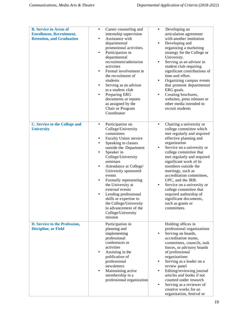| <b>B. Service in Areas of</b><br><b>Enrollment, Recruitment,</b><br><b>Retention, and Graduation</b> | Career counseling and<br>$\bullet$<br>internship supervision<br>Assistance with<br>departmental<br>promotional activities.<br>Participation in<br>departmental<br>recruitment/admission<br>activities<br>Formal involvement in<br>$\bullet$<br>the recruitment of<br>students<br>Serving as an advisor<br>$\bullet$<br>to a student club<br>Preparing ERG<br>٠<br>documents or reports<br>as assigned by the<br>Chair or Program<br>Coordinator                                                              | Developing an<br>$\bullet$<br>articulation agreement<br>with another institution<br>Developing and<br>$\bullet$<br>organizing a marketing<br>strategy for the College or<br>University.<br>Serving as an advisor to<br>$\bullet$<br>student club requiring<br>significant contributions of<br>time and effort.<br>Organizing campus events<br>$\bullet$<br>that promote departmental<br>ERG goals.<br>Creating brochures,<br>$\bullet$<br>websites, press releases or<br>other media intended to<br>recruit students              |
|------------------------------------------------------------------------------------------------------|--------------------------------------------------------------------------------------------------------------------------------------------------------------------------------------------------------------------------------------------------------------------------------------------------------------------------------------------------------------------------------------------------------------------------------------------------------------------------------------------------------------|-----------------------------------------------------------------------------------------------------------------------------------------------------------------------------------------------------------------------------------------------------------------------------------------------------------------------------------------------------------------------------------------------------------------------------------------------------------------------------------------------------------------------------------|
| <b>C. Service to the College and</b><br><b>University</b>                                            | Participation on<br>٠<br>College/University<br>committees<br>Faculty Union service<br>٠<br>Speaking to classes<br>$\bullet$<br>outside the Department<br>Speaker in<br>$\bullet$<br>College/University<br>seminars<br>Attendance at College/<br>٠<br>University sponsored<br>events<br>Formally representing<br>٠<br>the University at<br>external events<br>Lending professional<br>$\bullet$<br>skills or expertise to<br>the College/University<br>in advancement of the<br>College/University<br>mission | Chairing a university or<br>$\bullet$<br>college committee which<br>met regularly and required<br>effective planning and<br>organization<br>Service on a university or<br>$\bullet$<br>college committee that<br>met regularly and required<br>significant work of its<br>members outside the<br>meetings, such as<br>accreditation committees,<br>UPC, and the IRB.<br>Service on a university or<br>$\bullet$<br>college committee that<br>required authorship of<br>significant documents,<br>such as grants or<br>committees. |
| D. Service to the Profession,<br><b>Discipline, or Field</b>                                         | Participation in<br>planning and<br>implementing<br>professional<br>conferences or<br>activities<br>Assisting in the<br>publication of<br>professional<br>newsletters<br>Maintaining active<br>membership in a<br>professional organization                                                                                                                                                                                                                                                                  | Holding offices in<br>professional organizations<br>Serving on boards,<br>٠<br>accreditation teams,<br>committees, councils, task<br>forces, or advisory boards<br>of professional<br>organizations<br>Serving as a leader on a<br>٠<br>review panel<br>Editing/reviewing journal<br>$\bullet$<br>articles and books if not<br>counted under research<br>Serving as a reviewer of<br>٠<br>creative works for an<br>organization, festival or                                                                                      |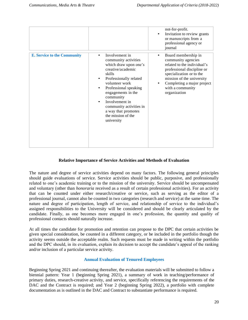|                                    |                                                                                                                                                                                                                                                                                                                                  | not-for-profit.<br>Invitation to review grants<br>$\bullet$<br>or manuscripts from a<br>professional agency or<br>journal                                                                                                                      |
|------------------------------------|----------------------------------------------------------------------------------------------------------------------------------------------------------------------------------------------------------------------------------------------------------------------------------------------------------------------------------|------------------------------------------------------------------------------------------------------------------------------------------------------------------------------------------------------------------------------------------------|
| <b>E. Service to the Community</b> | Involvement in<br>$\bullet$<br>community activities<br>which draw upon one's<br>creative/academic<br>skills<br>Professionally related<br>volunteer work<br>Professional speaking<br>٠<br>engagements in the<br>community<br>Involvement in<br>community activities in<br>a way that promotes<br>the mission of the<br>university | Board membership in<br>$\bullet$<br>community agencies<br>related to the individual's<br>professional discipline or<br>specialization or to the<br>mission of the university<br>Completing a major project<br>with a community<br>organization |

# **Relative Importance of Service Activities and Methods of Evaluation**

The nature and degree of service activities depend on many factors. The following general principles should guide evaluations of service. Service activities should be public, purposive, and professionally related to one's academic training or to the mission of the university. Service should be uncompensated and voluntary (other than *honoraria* received as a result of certain professional activities). For an activity that can be counted under either research/creative or service, such as serving as the editor of a professional journal, cannot also be counted in two categories (research and service) at the same time. The nature and degree of participation, length of service, and relationship of service to the individual's assigned responsibilities to the University will be considered and should be clearly articulated by the candidate. Finally, as one becomes more engaged in one's profession, the quantity and quality of professional contacts should naturally increase.

At all times the candidate for promotion and retention can propose to the DPC that certain activities be given special consideration, be counted in a different category, or be included in the portfolio though the activity seems outside the acceptable realm. Such requests must be made in writing within the portfolio and the DPC should, in its evaluation, explain its decision to accept the candidate's appeal of the ranking and/or inclusion of a particular service activity.

# **Annual Evaluation of Tenured Employees**

Beginning Spring 2021 and continuing thereafter, the evaluation materials will be submitted to follow a biennial pattern: Year 1 (beginning Spring 2021), a summary of work in teaching/performance of primary duties, research-creative activity, and service, specifically referencing the requirements of the DAC and the Contract is required; and Year 2 (beginning Spring 2022), a portfolio with complete documentation as is outlined in the DAC and Contract to substantiate performance is required.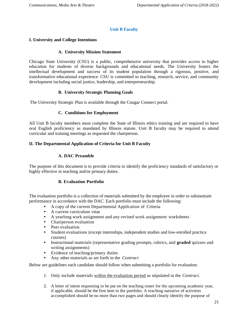# **Unit B Faculty**

## **I. University and College Intentions**

### **A. University Mission Statement**

Chicago State University (CSU) is a public, comprehensive university that provides access to higher education for students of diverse backgrounds and educational needs. The University fosters the intellectual development and success of its student population through a rigorous, positive, and transformative educational experience. CSU is committed to teaching, research, service, and community development including social justice, leadership, and entrepreneurship.

## **B. University Strategic Planning Goals**

The University Strategic Plan is available through the Cougar Connect portal.

#### **C. Conditions for Employment**

All Unit B faculty members must complete the State of Illinois ethics training and are required to have oral English proficiency as mandated by Illinois statute. Unit B faculty may be required to attend curricular and training meetings as requested the chairperson.

## **II. The Departmental Application of Criteria for Unit B Faculty**

#### **A. DAC Preamble**

The purpose of this document is to provide criteria to identify the proficiency standards of satisfactory or highly effective in teaching and/or primary duties.

#### **B. Evaluation Portfolio**

The evaluation portfolio is a collection of materials submitted by the employee in order to substantiate performance in accordance with the DAC. Each portfolio must include the following:

- A copy of the current Departmental Application of Criteria
- A current curriculum vitae
- A yearlong work assignment and any revised work assignment worksheets
- Chairperson evaluation
- Peer evaluation
- Student evaluations (except internships, independent studies and low-enrolled practica courses)
- Instructional materials (representative grading prompts, rubrics, and **graded** quizzes and writing assignments)
- Evidence of teaching/primary duties
- Any other materials as set forth in the *Contract*

Below are guidelines each candidate should follow when submitting a portfolio for evaluation:

- 1. Only include materials within the evaluation period as stipulated in the *Contract*.
- 2. A letter of intent requesting to be put on the teaching roster for the upcoming academic year, if applicable, should be the first item in the portfolio. A teaching narrative of activities accomplished should be no more than two pages and should clearly identify the purpose of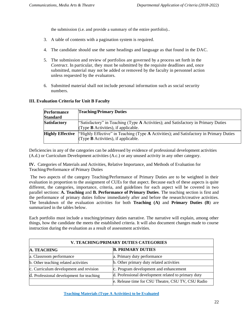the submission (i.e. and provide a summary of the entire portfolio)..

- 3. A table of contents with a pagination system is required.
- 4. The candidate should use the same headings and language as that found in the DAC.
- 5. The submission and review of portfolios are governed by a process set forth in the *Contract*. In particular, they must be submitted by the requisite deadlines and, once submitted, material may not be added or removed by the faculty in personnel action unless requested by the evaluators.
- 6. Submitted material shall not include personal information such as social security numbers.

#### **III. Evaluation Criteria for Unit B Faculty**

| <b>Performance</b>      | <b>Teaching/Primary Duties</b>                                                                                                       |
|-------------------------|--------------------------------------------------------------------------------------------------------------------------------------|
| <b>Standard</b>         |                                                                                                                                      |
| <b>Satisfactory</b>     | "Satisfactory" in Teaching (Type A Activities); and Satisfactory in Primary Duties                                                   |
|                         | (Type $\bf{B}$ Activities), if applicable.                                                                                           |
| <b>Highly Effective</b> | "Highly Effective" in Teaching (Type A Activities); and Satisfactory in Primary Duties<br>(Type $\bf{B}$ Activities), if applicable. |

Deficiencies in any of the categories can be addressed by evidence of professional development activities (A.d.) or Curriculum Development activities (A.c.) or any unused activity in any other category.

**IV.** Categories of Materials and Activities, Relative Importance, and Methods of Evaluation for Teaching/Performance of Primary Duties

The two aspects of the category Teaching/Performance of Primary Duties are to be weighted in their evaluation in proportion to the assignment of CUEs for that aspect. Because each of these aspects is quite different, the categories, importance, criteria, and guidelines for each aspect will be covered in two parallel sections: **A. Teaching** and **B. Performance of Primary Duties**. The teaching section is first and the performance of primary duties follow immediately after and before the research/creative activities. The breakdown of the evaluation activities for both **Teaching (A)** and **Primary Duties (B**) are summarized in the tables below.

Each portfolio must include a teaching/primary duties narrative. The narrative will explain, among other things, how the candidate the meets the established criteria. It will also document changes made to course instruction during the evaluation as a result of assessment activities.

| V. TEACHING/PRIMARY DUTIES CATEGORIES    |                                                     |  |
|------------------------------------------|-----------------------------------------------------|--|
| <b>A. TEACHING</b>                       | <b>B. PRIMARY DUTIES</b>                            |  |
| a. Classroom performance                 | a. Primary duty performance                         |  |
| b. Other teaching related activities     | b. Other primary duty related activities            |  |
| c. Curriculum development and revision   | c. Program development and enhancement              |  |
| d. Professional development for teaching | d. Professional development related to primary duty |  |
|                                          | e. Release time for CSU Theatre, CSU TV, CSU Radio  |  |

**Teaching Materials (Type A Activities) to be Evaluated**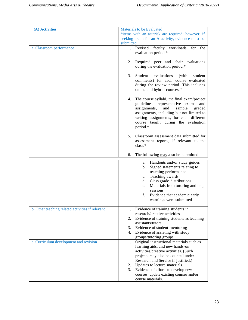| (A) Activities                                   | Materials to be Evaluated                                                                                                                                                                                                                                                                                                             |
|--------------------------------------------------|---------------------------------------------------------------------------------------------------------------------------------------------------------------------------------------------------------------------------------------------------------------------------------------------------------------------------------------|
|                                                  | *items with an asterisk are required; however, if                                                                                                                                                                                                                                                                                     |
|                                                  | seeking credit for an A activity, evidence must be                                                                                                                                                                                                                                                                                    |
|                                                  | submitted.                                                                                                                                                                                                                                                                                                                            |
| a. Classroom performance                         | 1. Revised faculty workloads<br>for<br>the<br>evaluation period.*                                                                                                                                                                                                                                                                     |
|                                                  | Required peer and chair evaluations<br>2.<br>during the evaluation period.*                                                                                                                                                                                                                                                           |
|                                                  | 3.<br>Student<br>evaluations<br>(with<br>student<br>comments) for each course evaluated<br>during the review period. This includes<br>online and hybrid courses.*                                                                                                                                                                     |
|                                                  | The course syllabi, the final exam/project<br>4.<br>guidelines, representative exams and<br>assignments,<br>and<br>sample<br>graded<br>assignments, including but not limited to<br>writing assignments, for each different<br>course taught during the evaluation<br>period.*                                                        |
|                                                  | 5.<br>Classroom assessment data submitted for<br>assessment reports, if relevant to the<br>class.*                                                                                                                                                                                                                                    |
|                                                  | The following may also be submitted:<br>6.                                                                                                                                                                                                                                                                                            |
|                                                  | Handouts and/or study guides<br>a.<br>Signed statements relating to<br>b.<br>teaching performance<br>Teaching awards<br>c.<br>Class grade distributions<br>d.<br>Materials from tutoring and help<br>e.<br>sessions<br>f.<br>Evidence that academic early<br>warnings were submitted                                                  |
| b. Other teaching related activities if relevant | 1. Evidence of training students in<br>research/creative activities<br>Evidence of training students as teaching<br>2.<br>assistants/tutors<br>Evidence of student mentoring<br>3.<br>Evidence of assisting with study<br>4.<br>groups/tutoring groups                                                                                |
| c. Curriculum development and revision           | Original instructional materials such as<br>1.<br>learning aids, and new hands-on<br>activities/creative activities. (Such<br>projects may also be counted under<br>Research and Service if justified.)<br>Updates to lecture materials.<br>2.<br>3.<br>Evidence of efforts to develop new<br>courses, update existing courses and/or |
|                                                  | course materials.                                                                                                                                                                                                                                                                                                                     |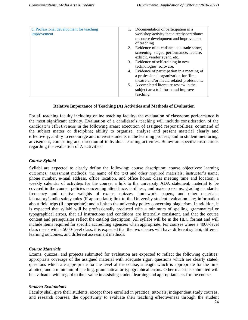| d. Professional development for teaching<br>improvement | Documentation of participation in a<br>Ι.<br>workshop activity that directly contributes<br>to course development and improvement<br>of teaching |
|---------------------------------------------------------|--------------------------------------------------------------------------------------------------------------------------------------------------|
|                                                         | 2. Evidence of attendance at a trade show,<br>screening, staged performance, lecture,<br>exhibit, vendor event, etc.                             |
|                                                         | 3. Evidence of self-training in new<br>technologies, software.                                                                                   |
|                                                         | Evidence of participation in a meeting of<br>4.<br>a professional organization for film,<br>theatre and/or media related professions.            |
|                                                         | A completed literature review in the<br>5.<br>subject area to inform and improve<br>teaching.                                                    |

## **Relative Importance of Teaching (A) Activities and Methods of Evaluation**

For all teaching faculty including online teaching faculty, the evaluation of classroom performance is the most significant activity. Evaluation of a candidate's teaching will include consideration of the candidate's effectiveness in the following areas: execution of assigned responsibilities; command of the subject matter or discipline; ability to organize, analyze and present material clearly and effectively; ability to encourage and interest students in the learning process; and in student mentoring, advisement, counseling and direction of individual learning activities. Below are specific instructions regarding the evaluation of A activities:

### *Course Syllabi*

Syllabi are expected to clearly define the following: course description; course objectives/ learning outcomes; assessment methods; the name of the text and other required materials; instructor's name, phone number, e-mail address, office location, and office hours; class meeting time and location; a weekly calendar of activities for the course; a link to the university ADA statement; material to be covered in the course; policies concerning attendance, tardiness, and makeup exams; grading standards; frequency and relative weights of exams, quizzes, homework, papers, and other materials; laboratory/studio safety rules (if appropriate); link to the University student evaluation sit[e;](http://www.csu.edu/course-eval%3B) information about field trips (if appropriate); and a link to the university policy concerning plagiarism. In addition, it is expected that syllabi will be professionally produced with a minimum of spelling, grammatical or typographical errors, that all instructions and conditions are internally consistent, and that the course content and prerequisites reflect the catalog description. All syllabi will be in the HLC format and will include items required for specific accrediting agencies when appropriate. For courses where a 4000-level class meets with a 5000-level class, it is expected that the two classes will have different syllabi, different learning outcomes, and different assessment methods.

### *Course Materials*

Exams, quizzes, and projects submitted for evaluation are expected to reflect the following qualities: appropriate coverage of the assigned material with adequate rigor, questions which are clearly stated, questions which are appropriate for the level of the course, a length which is appropriate for the time allotted, and a minimum of spelling, grammatical or typographical errors. Other materials submitted will be evaluated with regard to their value in assisting student learning and appropriateness for the course.

#### *Student Evaluations*

Faculty shall give their students, except those enrolled in practica, tutorials, independent study courses, and research courses, the opportunity to evaluate their teaching effectiveness through the student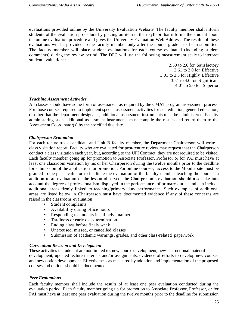evaluations provided online by the University Evaluation Website. The faculty member shall inform students of the evaluation procedure by placing an item in their syllabi that informs the student about the online evaluation procedure and gives the University Evaluation Web Address. The results of these evaluations will be provided to the faculty member only after the course grade has been submitted. The faculty member will place student evaluations for each course evaluated (including student comments) during the review period. The DPC will use the following measurement scale to interpret student evaluations:

> 2.50 to 2.6 for Satisfactory 2.61 to 3.0 for Effective 3.01 to 3.5 for Highly Effective 3.51 to 4.0 for Significant 4.01 to 5.0 for Superior

#### *Teaching Assessment Activities*

All classes should have some form of assessment as required by the CMAT program assessment process. For those courses required to implement special assessment activities for accreditation, general education, or other that the department designates, additional assessment instruments must be administered. Faculty administering such additional assessment instruments must compile the results and return them to the Assessment Coordinator(s) by the specified due date.

#### *Chairperson Evaluation*

For each tenure-track candidate and Unit B faculty member, the Department Chairperson will write a class visitation report. Faculty who are evaluated for post-tenure review may request that the Chairperson conduct a class visitation each year, but, according to the UPI Contract, they are not required to be visited. Each faculty member going up for promotion to Associate Professor, Professor or for PAI must have at least one classroom visitation by his or her Chairperson during the twelve months prior to the deadline for submission of the application for promotion. For online courses, access to the Moodle site must be granted to the peer evaluator to facilitate the evaluation of the faculty member teaching the course. In addition to an evaluation of the lesson observed, the Chairperson's evaluation should also take into account the degree of professionalism displayed in the performance of primary duties and can include additional areas firmly linked to teaching/primary duty performance. Such examples of additional areas are listed below. A Chairperson must have documented evidence if any of these concerns are raised in the classroom evaluation:

- Student complaints
- Availability during office hours
- Responding to students in a timely manner
- Tardiness or early class termination
- Ending class before finals week
- Unexcused, missed, or cancelled classes
- Submission of academic warnings, grades, and other class-related paperwork

#### *Curriculum Revision and Development*

These activities include but are not limited to: new course development, new instructional material development, updated lecture materials and/or assignments, evidence of efforts to develop new courses and new option development. Effectiveness as measured by adoption and implementation of the proposed courses and options should be documented.

#### *Peer Evaluations*

Each faculty member shall include the results of at least one peer evaluation conducted during the evaluation period. Each faculty member going up for promotion to Associate Professor, Professor, or for PAI must have at least one peer evaluation during the twelve months prior to the deadline for submission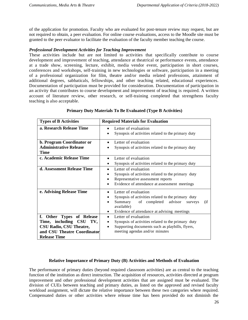of the application for promotion. Faculty who are evaluated for post-tenure review may request, but are not required to obtain, a peer evaluation. For online course evaluations, access to the Moodle site must be granted to the peer evaluator to facilitate the evaluation of the faculty member teaching the course.

#### *Professional Development Activities for Teaching Improvement*

These activities include but are not limited to activities that specifically contribute to course development and improvement of teaching, attendance at theatrical or performance events, attendance at a trade show, screening, lecture, exhibit, media vendor event, participation in short courses, conferences and workshops, self-training in new technologies or software, participation in a meeting of a professional organization for film, theatre and/or media related professions, attainment of additional degrees, sabbaticals, fellowships, and other teaching related, educational experiences. Documentation of participation must be provided for consideration. Documentation of participation in an activity that contributes to course development and improvement of teaching is required. A written account of literature review, other research, or self-training completed that strengthens faculty teaching is also acceptable.

| <b>Types of B Activities</b>                                                                                                                 | <b>Required Materials for Evaluation</b>                                                                                                                                                           |  |
|----------------------------------------------------------------------------------------------------------------------------------------------|----------------------------------------------------------------------------------------------------------------------------------------------------------------------------------------------------|--|
| a. Research Release Time                                                                                                                     | Letter of evaluation<br>Synopsis of activities related to the primary duty                                                                                                                         |  |
| b. Program Coordinator or<br><b>Administrative Release</b><br><b>Time</b>                                                                    | Letter of evaluation<br>Synopsis of activities related to the primary duty                                                                                                                         |  |
| c. Academic Release Time                                                                                                                     | Letter of evaluation<br>$\bullet$<br>Synopsis of activities related to the primary duty                                                                                                            |  |
| d. Assessment Release Time                                                                                                                   | Letter of evaluation<br>Synopsis of activities related to the primary duty<br>Representative assessment reports<br>Evidence of attendance at assessment meetings<br>٠                              |  |
| e. Advising Release Time                                                                                                                     | Letter of evaluation<br>Synopsis of activities related to the primary duty<br>of completed advisor<br>Summary<br>(ii)<br>surveys<br>available)<br>Evidence of attendance at advising meetings<br>٠ |  |
| f. Other Types of Release<br>Time, including CSU TV,<br><b>CSU Radio, CSU Theatre,</b><br>and CSU Theatre Coordinator<br><b>Release Time</b> | Letter of evaluation<br>$\bullet$<br>Synopsis of activities related to the primary duty<br>٠<br>Supporting documents such as playbills, flyers,<br>$\bullet$<br>meeting agendas and/or minutes     |  |

#### **Primary Duty Materials To Be Evaluated (Type B Activities)**

#### **Relative Importance of Primary Duty (B) Activities and Methods of Evaluation**

The performance of primary duties (beyond required classroom activities) are as central to the teaching function of the institution as direct instruction. The acquisition of resources, activities directed at program improvement and other professional development activities that are assigned must be evaluated. The division of CUEs between teaching and primary duties, as listed on the approved and revised faculty workload assignment, will dictate the relative importance between these two categories where required. Compensated duties or other activities where release time has been provided do not diminish the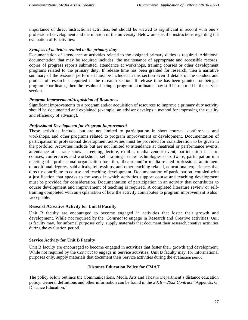importance of direct instructional activities, but should be viewed as significant in accord with one's professional development and the mission of the university. Below are specific instructions regarding the evaluation of B activities:

#### *Synopsis of activities related to the primary duty*

Documentation of attendance at activities related to the assigned primary duties is required. Additional documentation that may be required includes: the maintenance of appropriate and accessible records, copies of progress reports submitted, attendance at workshops, training courses or other development programs related to the primary duty. If release time has been granted for research, then a narrative summary of the research performed must be included in this section even if details of the conduct and product of research is reported in the research section. If release time has been granted for being a program coordinator, then the results of being a program coordinator may still be reported in the service section.

#### *Program Improvement/Acquisition of Resources*

Significant improvements to a program and/or acquisition of resources to improve a primary duty activity should be documented and explained (example: an advisor develops a method for improving the quality and efficiency of advising).

#### *Professional Development for Program Improvement*

These activities include, but are not limited to participation in short courses, conferences and workshops, and other programs related to program improvement or development. Documentation of participation in professional development activities must be provided for consideration to be given in the portfolio. Activities include but are not limited to attendance at theatrical or performance events, attendance at a trade show, screening, lecture, exhibit, media vendor event, participation in short courses, conferences and workshops, self-training in new technologies or software, participation in a meeting of a professional organization for film, theatre and/or media related professions, attainment of additional degrees, sabbaticals, fellowships, and other teaching related, educational experiences that directly contribute to course and teaching development. Documentation of participation coupled with a justification that speaks to the ways in which activities support course and teaching development must be provided for consideration. Documentation of participation in an activity that contributes to course development and improvement of teaching is required. A completed literature review or selftraining completed with an explanation of how the activity contributes to program improvement isalso acceptable.

#### **Research/Creative Activity for Unit B Faculty**

Unit B faculty are encouraged to become engaged in activities that foster their growth and development. While not required by the *Contract* to engage in Research and Creative activities, Unit B faculty may, for informal purposes only, supply materials that document their research/creative activities during the evaluation period.

# **Service Activity for Unit B Faculty**

Unit B faculty are encouraged to become engaged in activities that foster their growth and development. While not required by the *Contract* to engage in Service activities, Unit B faculty may, for informational purposes only, supply materials that document their Service activities during the evaluation period.

#### **Distance Education Policy for CMAT**

The policy below outlines the Communications, Media Arts and Theatre Department's distance education policy. General definitions and other information can be found in the *2018 – 2022 Contract* "Appendix G: Distance Education."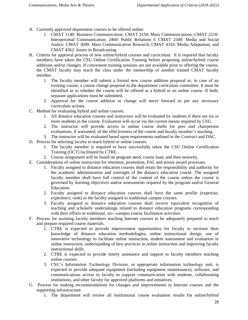- A. Currently approved department courses to be offered online:
	- 1. CMAT 1140: Business Communication; CMAT 2150: Mass Communications; CMAT 2210: Interpersonal Communication; 2460: Public Relations I; CMAT 2500: Media and Social Justice; CMAT 3690: Mass Communication Research; CMAT 4316: Media Adaptation; and CMAT 4362: Issues in Broadcasting
- B. Criteria for approval process of new online/hybrid courses and curriculum. It is required that faculty members have taken the CSU Online Certification Training before proposing online/hybrid course additions and/or changes. If convenient training sessions are not available prior to offering the course, the CMAT faculty may teach the class under the mentorship of another trained CMAT faculty member.
	- 1. The faculty member will submit a formal new course addition proposal or, in case of an existing course, a course change proposal to the department curriculum committee. It must be identified as to whether the course will be offered as a hybrid or an online course. If both, separate applications must be submitted.
	- 2. Approval for the course addition or change will move forward as per any necessary curriculum actions.
- C. Method for evaluating hybrid and online courses.
	- 1. All distance education courses and instructors will be evaluated by students if there are six or more students in the course. Evaluation will occur via the current means required by CSU.
	- 2. The instructor will provide access to online course shells for peer and chairperson evaluations, if warranted, of the effectiveness of the course and faculty member's teaching.
	- 3. The instructor will be evaluated based upon requirements outlined in the *Contract* and DAC.
- D. Process for selecting faculty to teach hybrid or online courses.
	- 1. The faculty member is required to have successfully taken the CSU Online Certification Training (OCT) facilitated by CTRE.
	- 2. Course assignment will be based on program need, course load, and then seniority.
- E. Considerations of online instruction for retention, promotion, PAI, and tenure award processes.
	- 1. Faculty assigned to distance education courses shall retain the responsibility and authority for the academic administration and oversight of the distance education course. The assigned faculty member shall have full control of the content of the course unless the course is governed by learning objectives and/or assessments required by the program and/or General Education.
	- 2. Faculty assigned to distance education courses shall have the same profile (expertise, experience, rank) as the faculty assigned to traditional campus courses.
	- 3. Faculty assigned to distance education courses shall receive equivalent recognition of teaching and scholarly undertakings related to distance education programs corresponding with their efforts in traditional, on---campus course facilitation activities.
- F. Process for assisting faculty members teaching Internet courses to be adequately prepared to teach and prepare required course materials.
	- 1. CTRE is expected to provide improvement opportunities for faculty to increase their knowledge of distance education methodologies, online instructional design, use of innovative technology to facilitate online instruction, student assessment and evaluation in online instruction, understanding of best practices in online instruction and improving faculty instructional skills.
	- 2. CTRE is expected to provide timely assistance and support to faculty members teaching online courses.
	- 3. CSU's Information Technology Division, or appropriate information technology unit, is expected to provide adequate equipment (including equipment maintenance), software, and communications access to faculty to support communication with students, collaborating institutions, and other faculty for approved platforms and initiatives.
- G. Process for making recommendations for changes and improvements to Internet courses and the supporting infrastructure.
	- 1. The department will review all institutional course evaluation results for online/hybrid